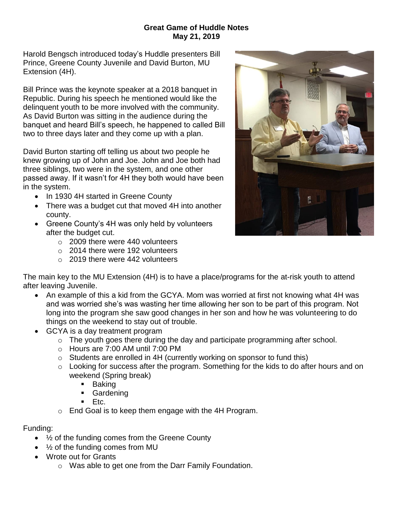## **Great Game of Huddle Notes May 21, 2019**

Harold Bengsch introduced today's Huddle presenters Bill Prince, Greene County Juvenile and David Burton, MU Extension (4H).

Bill Prince was the keynote speaker at a 2018 banquet in Republic. During his speech he mentioned would like the delinquent youth to be more involved with the community. As David Burton was sitting in the audience during the banquet and heard Bill's speech, he happened to called Bill two to three days later and they come up with a plan.

David Burton starting off telling us about two people he knew growing up of John and Joe. John and Joe both had three siblings, two were in the system, and one other passed away. If it wasn't for 4H they both would have been in the system.

- In 1930 4H started in Greene County
- There was a budget cut that moved 4H into another county.
- Greene County's 4H was only held by volunteers after the budget cut.
	- o 2009 there were 440 volunteers
	- o 2014 there were 192 volunteers
	- $\circ$  2019 there were 442 volunteers



The main key to the MU Extension (4H) is to have a place/programs for the at-risk youth to attend after leaving Juvenile.

- An example of this a kid from the GCYA. Mom was worried at first not knowing what 4H was and was worried she's was wasting her time allowing her son to be part of this program. Not long into the program she saw good changes in her son and how he was volunteering to do things on the weekend to stay out of trouble.
- GCYA is a day treatment program
	- o The youth goes there during the day and participate programming after school.
	- $\circ$  Hours are 7:00 AM until 7:00 PM
	- o Students are enrolled in 4H (currently working on sponsor to fund this)
	- o Looking for success after the program. Something for the kids to do after hours and on weekend (Spring break)
		- **Baking**
		- **Gardening**
		- $E_{\text{t}}$
	- o End Goal is to keep them engage with the 4H Program.

Funding:

- $\bullet$   $\frac{1}{2}$  of the funding comes from the Greene County
- $\bullet$   $\frac{1}{2}$  of the funding comes from MU
- Wrote out for Grants
	- o Was able to get one from the Darr Family Foundation.